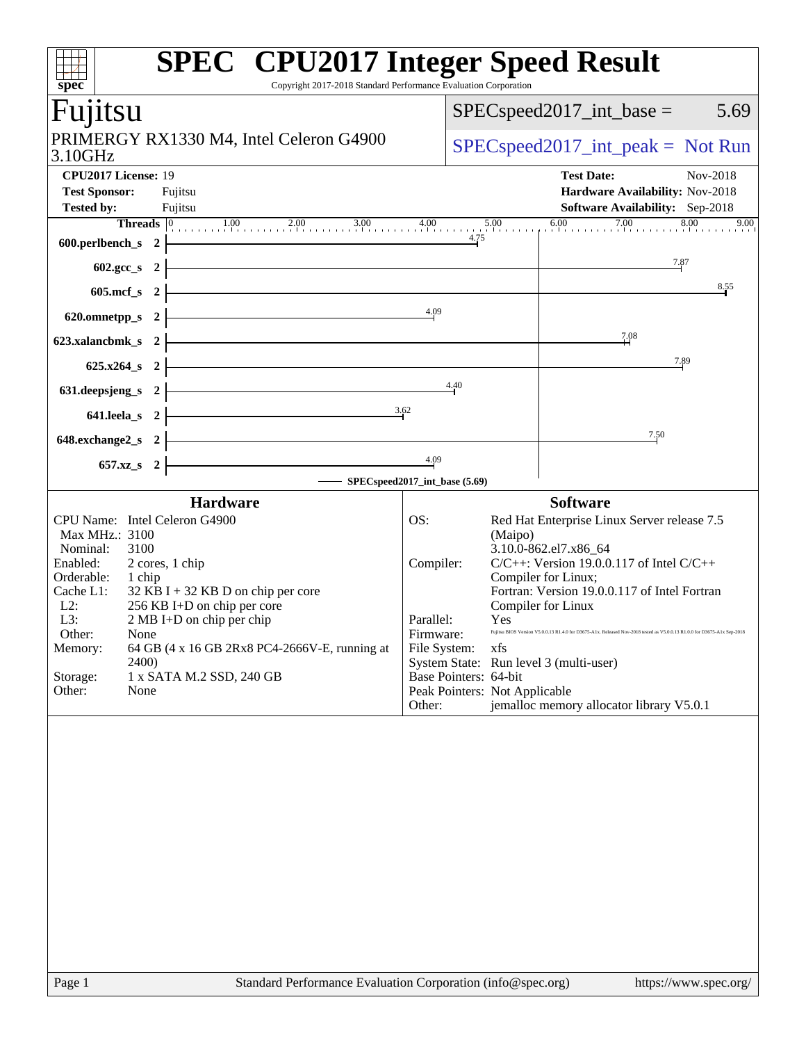| $\overline{\text{spec}^*}$                                                                                                                                                                             |                                                                                    | <b>SPEC<sup>®</sup></b> CPU2017 Integer Speed Result<br>Copyright 2017-2018 Standard Performance Evaluation Corporation                                                                          |                                                                      |                       |                                                               |                                                                                                                                                                                                                                                                                                                                                                                                                                      |  |  |
|--------------------------------------------------------------------------------------------------------------------------------------------------------------------------------------------------------|------------------------------------------------------------------------------------|--------------------------------------------------------------------------------------------------------------------------------------------------------------------------------------------------|----------------------------------------------------------------------|-----------------------|---------------------------------------------------------------|--------------------------------------------------------------------------------------------------------------------------------------------------------------------------------------------------------------------------------------------------------------------------------------------------------------------------------------------------------------------------------------------------------------------------------------|--|--|
| Fujitsu                                                                                                                                                                                                |                                                                                    |                                                                                                                                                                                                  |                                                                      |                       |                                                               | $SPEC speed2017\_int\_base =$<br>5.69                                                                                                                                                                                                                                                                                                                                                                                                |  |  |
| 3.10GHz                                                                                                                                                                                                | PRIMERGY RX1330 M4, Intel Celeron G4900                                            |                                                                                                                                                                                                  | $SPEC speed2017\_int\_peak = Not Run$                                |                       |                                                               |                                                                                                                                                                                                                                                                                                                                                                                                                                      |  |  |
| CPU2017 License: 19                                                                                                                                                                                    |                                                                                    |                                                                                                                                                                                                  |                                                                      |                       |                                                               | <b>Test Date:</b><br>Nov-2018                                                                                                                                                                                                                                                                                                                                                                                                        |  |  |
| <b>Test Sponsor:</b>                                                                                                                                                                                   |                                                                                    | Fujitsu                                                                                                                                                                                          |                                                                      |                       |                                                               | Hardware Availability: Nov-2018                                                                                                                                                                                                                                                                                                                                                                                                      |  |  |
| <b>Tested by:</b>                                                                                                                                                                                      |                                                                                    | Fujitsu                                                                                                                                                                                          |                                                                      |                       |                                                               | <b>Software Availability:</b> Sep-2018                                                                                                                                                                                                                                                                                                                                                                                               |  |  |
| 600.perlbench_s $2 \nmid$                                                                                                                                                                              |                                                                                    | <b>Threads</b> $\boxed{0}$ 1.00 2.00 3.00 4.00 5.00 6.00 7.00 8.00                                                                                                                               |                                                                      | 4.75                  |                                                               | 9.00                                                                                                                                                                                                                                                                                                                                                                                                                                 |  |  |
| $602.\text{sec}\_\text{s}$ 2                                                                                                                                                                           |                                                                                    | <u> 1989 - Johann Barn, fransk politik fotograf (d. 1989)</u>                                                                                                                                    |                                                                      |                       |                                                               | 7.87                                                                                                                                                                                                                                                                                                                                                                                                                                 |  |  |
| $605 \text{.mcf}\, \text{s}$ 2                                                                                                                                                                         |                                                                                    | <u> 1989 - Johann Stoff, deutscher Stoffen und der Stoffen und der Stoffen und der Stoffen und der Stoffen und der</u>                                                                           |                                                                      |                       |                                                               | 8.55                                                                                                                                                                                                                                                                                                                                                                                                                                 |  |  |
| 620.omnetpp_s $2 \nmid$                                                                                                                                                                                |                                                                                    | 4.09                                                                                                                                                                                             |                                                                      |                       |                                                               |                                                                                                                                                                                                                                                                                                                                                                                                                                      |  |  |
| 623.xalancbmk_s 2 $\vert$                                                                                                                                                                              |                                                                                    | <u> 1989 - Johann Barn, mars eta bainar eta baina eta baina eta baina eta baina eta baina eta baina eta baina e</u>                                                                              |                                                                      |                       |                                                               | 7.08                                                                                                                                                                                                                                                                                                                                                                                                                                 |  |  |
|                                                                                                                                                                                                        |                                                                                    |                                                                                                                                                                                                  | $625.x264_s$ 2                                                       |                       |                                                               |                                                                                                                                                                                                                                                                                                                                                                                                                                      |  |  |
|                                                                                                                                                                                                        |                                                                                    | 631. deepsjeng_s 2 $\frac{4.40}{1}$                                                                                                                                                              |                                                                      |                       |                                                               |                                                                                                                                                                                                                                                                                                                                                                                                                                      |  |  |
|                                                                                                                                                                                                        |                                                                                    | 641.leela_s 2 $\frac{3.62}{2}$                                                                                                                                                                   |                                                                      |                       |                                                               |                                                                                                                                                                                                                                                                                                                                                                                                                                      |  |  |
|                                                                                                                                                                                                        | <u> 1989 - Johann Stein, mars an de Frankrik (f. 1989)</u><br>648.exchange $2_s$ 2 |                                                                                                                                                                                                  |                                                                      |                       |                                                               | 7.50                                                                                                                                                                                                                                                                                                                                                                                                                                 |  |  |
| $657.xz_s$ 2                                                                                                                                                                                           |                                                                                    | <u> 1989 - Johann Barn, mars ann an t-Amhair an t-Amhair an t-Amhair an t-Amhair an t-Amhair an t-Amhair an t-Amh</u><br>SPECspeed2017_int_base (5.69)                                           | 4.09                                                                 |                       |                                                               |                                                                                                                                                                                                                                                                                                                                                                                                                                      |  |  |
|                                                                                                                                                                                                        |                                                                                    | <b>Hardware</b>                                                                                                                                                                                  |                                                                      |                       |                                                               | <b>Software</b>                                                                                                                                                                                                                                                                                                                                                                                                                      |  |  |
| CPU Name: Intel Celeron G4900<br>Max MHz.: 3100<br>Nominal:<br>3100<br>Enabled:<br>Orderable:<br>1 chip<br>Cache L1:<br>L2:<br>L3:<br>Other:<br>None<br>Memory:<br>2400)<br>Storage:<br>None<br>Other: |                                                                                    | 2 cores, 1 chip<br>$32$ KB I + 32 KB D on chip per core<br>256 KB I+D on chip per core<br>2 MB I+D on chip per chip<br>64 GB (4 x 16 GB 2Rx8 PC4-2666V-E, running at<br>1 x SATA M.2 SSD, 240 GB | OS:<br>Compiler:<br>Parallel:<br>Firmware:<br>File System:<br>Other: | Base Pointers: 64-bit | (Maipo)<br><b>Yes</b><br>xfs<br>Peak Pointers: Not Applicable | Red Hat Enterprise Linux Server release 7.5<br>3.10.0-862.el7.x86_64<br>$C/C++$ : Version 19.0.0.117 of Intel $C/C++$<br>Compiler for Linux;<br>Fortran: Version 19.0.0.117 of Intel Fortran<br>Compiler for Linux<br>Fujitsu BIOS Version V5.0.0.13 R1.4.0 for D3675-A1x. Released Nov-2018 tested as V5.0.0.13 R1.0.0 for D3675-A1x Sep-2018<br>System State: Run level 3 (multi-user)<br>jemalloc memory allocator library V5.0.1 |  |  |
|                                                                                                                                                                                                        |                                                                                    |                                                                                                                                                                                                  |                                                                      |                       |                                                               |                                                                                                                                                                                                                                                                                                                                                                                                                                      |  |  |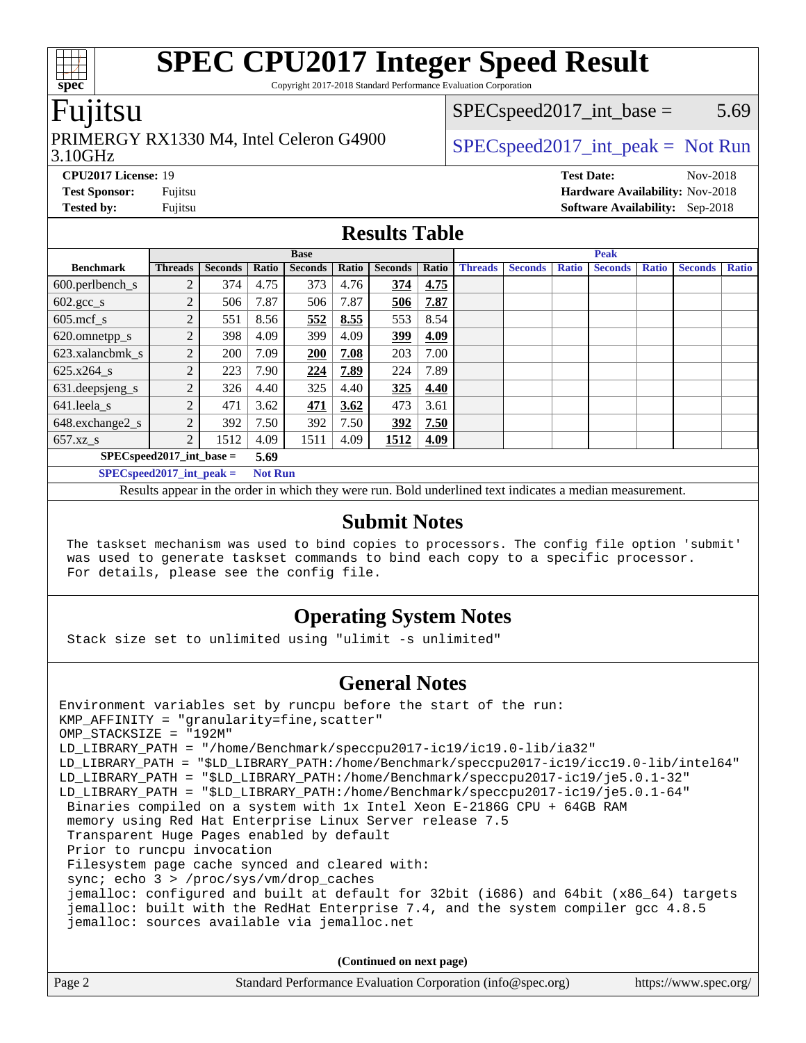Copyright 2017-2018 Standard Performance Evaluation Corporation

### Fujitsu

#### 3.10GHz PRIMERGY RX1330 M4, Intel Celeron G4900  $\big|$  [SPECspeed2017\\_int\\_peak =](http://www.spec.org/auto/cpu2017/Docs/result-fields.html#SPECspeed2017intpeak) Not Run

 $SPEC speed2017\_int\_base = 5.69$ 

**[CPU2017 License:](http://www.spec.org/auto/cpu2017/Docs/result-fields.html#CPU2017License)** 19 **[Test Date:](http://www.spec.org/auto/cpu2017/Docs/result-fields.html#TestDate)** Nov-2018 **[Test Sponsor:](http://www.spec.org/auto/cpu2017/Docs/result-fields.html#TestSponsor)** Fujitsu **[Hardware Availability:](http://www.spec.org/auto/cpu2017/Docs/result-fields.html#HardwareAvailability)** Nov-2018 **[Tested by:](http://www.spec.org/auto/cpu2017/Docs/result-fields.html#Testedby)** Fujitsu **[Software Availability:](http://www.spec.org/auto/cpu2017/Docs/result-fields.html#SoftwareAvailability)** Sep-2018

#### **[Results Table](http://www.spec.org/auto/cpu2017/Docs/result-fields.html#ResultsTable)**

|                                      | <b>Base</b>    |                |                |                |       |                | <b>Peak</b> |                |                |              |                |              |                |              |
|--------------------------------------|----------------|----------------|----------------|----------------|-------|----------------|-------------|----------------|----------------|--------------|----------------|--------------|----------------|--------------|
| <b>Benchmark</b>                     | <b>Threads</b> | <b>Seconds</b> | Ratio          | <b>Seconds</b> | Ratio | <b>Seconds</b> | Ratio       | <b>Threads</b> | <b>Seconds</b> | <b>Ratio</b> | <b>Seconds</b> | <b>Ratio</b> | <b>Seconds</b> | <b>Ratio</b> |
| $600.$ perlbench $\mathsf{S}$        | 2              | 374            | 4.75           | 373            | 4.76  | 374            | 4.75        |                |                |              |                |              |                |              |
| $602 \text{.} \text{gcc}\text{_<}$ s | 2              | 506            | 7.87           | 506            | 7.87  | 506            | 7.87        |                |                |              |                |              |                |              |
| $605 \text{.mcf}$ s                  | $\overline{c}$ | 551            | 8.56           | 552            | 8.55  | 553            | 8.54        |                |                |              |                |              |                |              |
| 620.omnetpp_s                        | $\gamma$       | 398            | 4.09           | 399            | 4.09  | 399            | 4.09        |                |                |              |                |              |                |              |
| 623.xalancbmk s                      | 2              | 200            | 7.09           | 200            | 7.08  | 203            | 7.00        |                |                |              |                |              |                |              |
| 625.x264 s                           | 2              | 223            | 7.90           | 224            | 7.89  | 224            | 7.89        |                |                |              |                |              |                |              |
| 631.deepsjeng_s                      | 2              | 326            | 4.40           | 325            | 4.40  | 325            | 4.40        |                |                |              |                |              |                |              |
| 641.leela s                          | 2              | 471            | 3.62           | <b>471</b>     | 3.62  | 473            | 3.61        |                |                |              |                |              |                |              |
| 648.exchange2_s                      | 2              | 392            | 7.50           | 392            | 7.50  | 392            | 7.50        |                |                |              |                |              |                |              |
| $657.xz$ s                           | 2              | 1512           | 4.09           | 1511           | 4.09  | 1512           | 4.09        |                |                |              |                |              |                |              |
| $SPECspeed2017\_int\_base =$<br>5.69 |                |                |                |                |       |                |             |                |                |              |                |              |                |              |
| $SPECspeed2017\_int\_peak =$         |                |                | <b>Not Run</b> |                |       |                |             |                |                |              |                |              |                |              |

Results appear in the [order in which they were run.](http://www.spec.org/auto/cpu2017/Docs/result-fields.html#RunOrder) Bold underlined text [indicates a median measurement.](http://www.spec.org/auto/cpu2017/Docs/result-fields.html#Median)

#### **[Submit Notes](http://www.spec.org/auto/cpu2017/Docs/result-fields.html#SubmitNotes)**

 The taskset mechanism was used to bind copies to processors. The config file option 'submit' was used to generate taskset commands to bind each copy to a specific processor. For details, please see the config file.

### **[Operating System Notes](http://www.spec.org/auto/cpu2017/Docs/result-fields.html#OperatingSystemNotes)**

Stack size set to unlimited using "ulimit -s unlimited"

### **[General Notes](http://www.spec.org/auto/cpu2017/Docs/result-fields.html#GeneralNotes)**

Environment variables set by runcpu before the start of the run: KMP AFFINITY = "granularity=fine, scatter" OMP\_STACKSIZE = "192M" LD\_LIBRARY\_PATH = "/home/Benchmark/speccpu2017-ic19/ic19.0-lib/ia32" LD\_LIBRARY\_PATH = "\$LD\_LIBRARY\_PATH:/home/Benchmark/speccpu2017-ic19/icc19.0-lib/intel64" LD\_LIBRARY\_PATH = "\$LD\_LIBRARY\_PATH:/home/Benchmark/speccpu2017-ic19/je5.0.1-32" LD\_LIBRARY\_PATH = "\$LD\_LIBRARY\_PATH:/home/Benchmark/speccpu2017-ic19/je5.0.1-64" Binaries compiled on a system with 1x Intel Xeon E-2186G CPU + 64GB RAM memory using Red Hat Enterprise Linux Server release 7.5 Transparent Huge Pages enabled by default Prior to runcpu invocation Filesystem page cache synced and cleared with: sync; echo 3 > /proc/sys/vm/drop caches jemalloc: configured and built at default for 32bit (i686) and 64bit (x86\_64) targets jemalloc: built with the RedHat Enterprise 7.4, and the system compiler gcc 4.8.5 jemalloc: sources available via jemalloc.net

**(Continued on next page)**

| Page 2 | Standard Performance Evaluation Corporation (info@spec.org) | https://www.spec.org/ |
|--------|-------------------------------------------------------------|-----------------------|
|        |                                                             |                       |

**[spec](http://www.spec.org/)**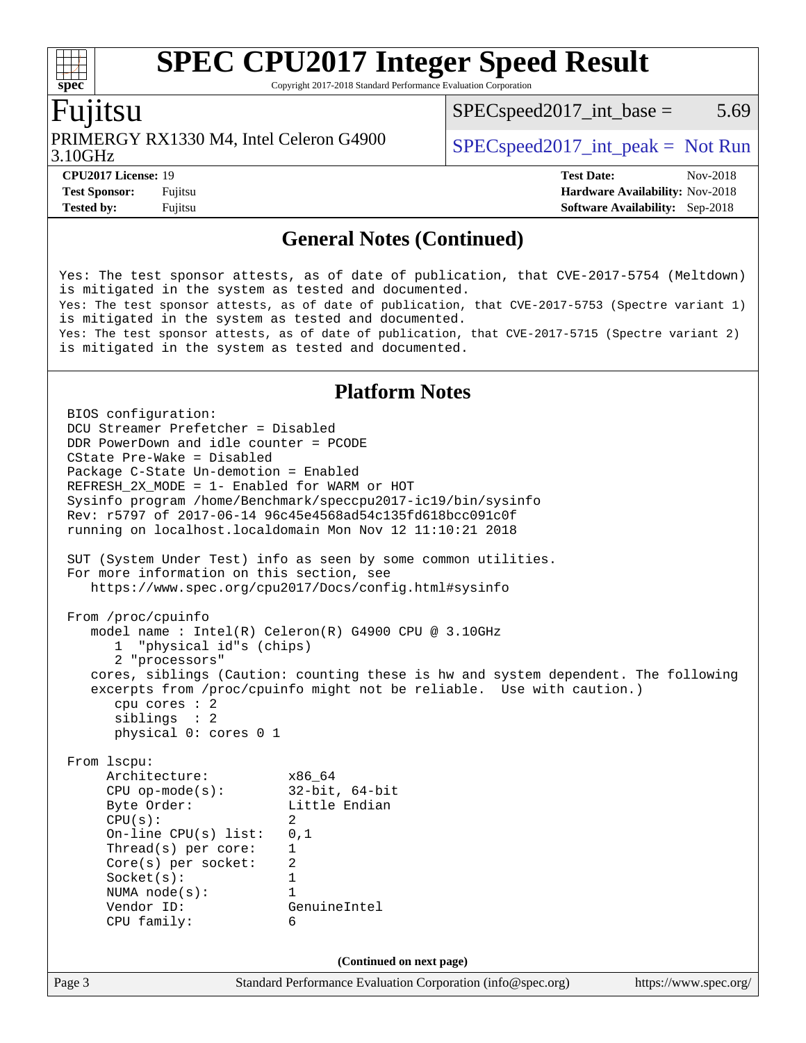Copyright 2017-2018 Standard Performance Evaluation Corporation

### Fujitsu

PRIMERGY RX1330 M4, Intel Celeron G4900  $\big|$  [SPECspeed2017\\_int\\_peak =](http://www.spec.org/auto/cpu2017/Docs/result-fields.html#SPECspeed2017intpeak) Not Run

 $SPEC speed2017\_int\_base = 5.69$ 

3.10GHz

**[Tested by:](http://www.spec.org/auto/cpu2017/Docs/result-fields.html#Testedby)** Fujitsu **[Software Availability:](http://www.spec.org/auto/cpu2017/Docs/result-fields.html#SoftwareAvailability)** Sep-2018

**[CPU2017 License:](http://www.spec.org/auto/cpu2017/Docs/result-fields.html#CPU2017License)** 19 **[Test Date:](http://www.spec.org/auto/cpu2017/Docs/result-fields.html#TestDate)** Nov-2018 **[Test Sponsor:](http://www.spec.org/auto/cpu2017/Docs/result-fields.html#TestSponsor)** Fujitsu **[Hardware Availability:](http://www.spec.org/auto/cpu2017/Docs/result-fields.html#HardwareAvailability)** Nov-2018

#### **[General Notes \(Continued\)](http://www.spec.org/auto/cpu2017/Docs/result-fields.html#GeneralNotes)**

Yes: The test sponsor attests, as of date of publication, that CVE-2017-5754 (Meltdown) is mitigated in the system as tested and documented. Yes: The test sponsor attests, as of date of publication, that CVE-2017-5753 (Spectre variant 1) is mitigated in the system as tested and documented. Yes: The test sponsor attests, as of date of publication, that CVE-2017-5715 (Spectre variant 2) is mitigated in the system as tested and documented.

#### **[Platform Notes](http://www.spec.org/auto/cpu2017/Docs/result-fields.html#PlatformNotes)**

Page 3 Standard Performance Evaluation Corporation [\(info@spec.org\)](mailto:info@spec.org) <https://www.spec.org/> BIOS configuration: DCU Streamer Prefetcher = Disabled DDR PowerDown and idle counter = PCODE CState Pre-Wake = Disabled Package C-State Un-demotion = Enabled REFRESH\_2X\_MODE = 1- Enabled for WARM or HOT Sysinfo program /home/Benchmark/speccpu2017-ic19/bin/sysinfo Rev: r5797 of 2017-06-14 96c45e4568ad54c135fd618bcc091c0f running on localhost.localdomain Mon Nov 12 11:10:21 2018 SUT (System Under Test) info as seen by some common utilities. For more information on this section, see <https://www.spec.org/cpu2017/Docs/config.html#sysinfo> From /proc/cpuinfo model name : Intel(R) Celeron(R) G4900 CPU @ 3.10GHz 1 "physical id"s (chips) 2 "processors" cores, siblings (Caution: counting these is hw and system dependent. The following excerpts from /proc/cpuinfo might not be reliable. Use with caution.) cpu cores : 2 siblings : 2 physical 0: cores 0 1 From lscpu: Architecture: x86\_64 CPU op-mode(s): 32-bit, 64-bit Byte Order: Little Endian  $CPU(s):$  2 On-line CPU(s) list: 0,1 Thread(s) per core: 1 Core(s) per socket: 2 Socket(s): 1 NUMA node(s): 1 Vendor ID: GenuineIntel CPU family: 6 **(Continued on next page)**

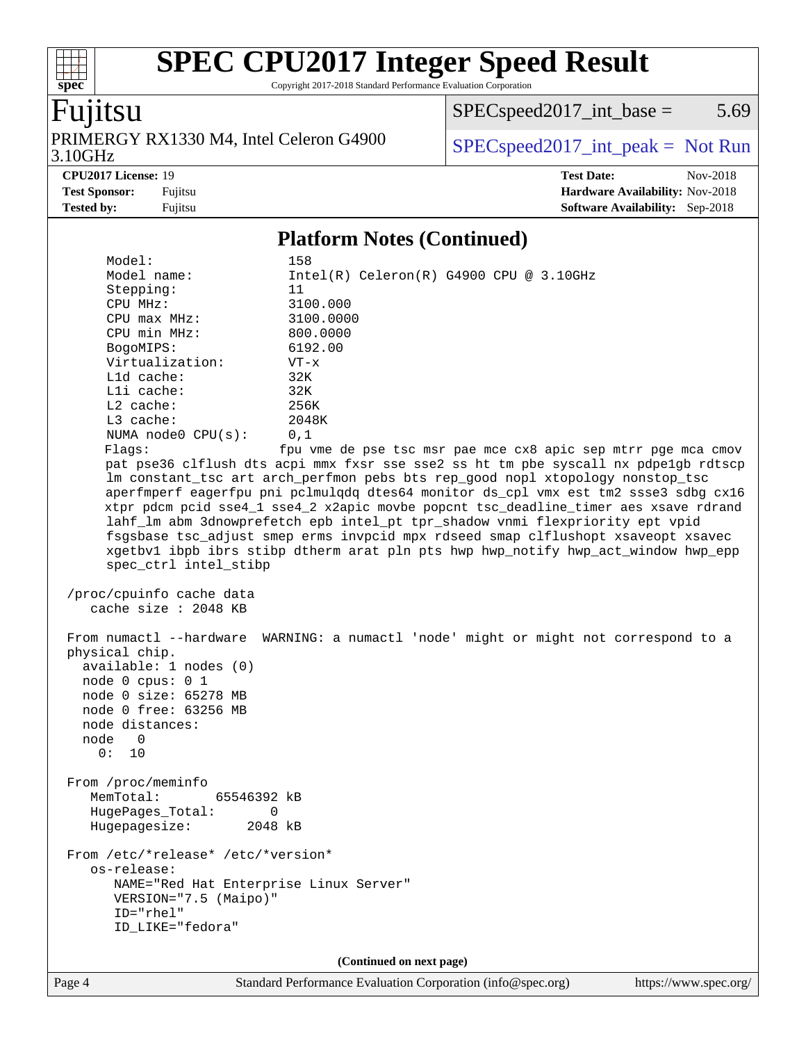Copyright 2017-2018 Standard Performance Evaluation Corporation

### Fujitsu

**[spec](http://www.spec.org/)**

 $+\ +$ 

3.10GHz PRIMERGY RX1330 M4, Intel Celeron G4900  $\big|$  [SPECspeed2017\\_int\\_peak =](http://www.spec.org/auto/cpu2017/Docs/result-fields.html#SPECspeed2017intpeak) Not Run

 $SPEC speed2017\_int\_base = 5.69$ 

**[CPU2017 License:](http://www.spec.org/auto/cpu2017/Docs/result-fields.html#CPU2017License)** 19 **[Test Date:](http://www.spec.org/auto/cpu2017/Docs/result-fields.html#TestDate)** Nov-2018 **[Test Sponsor:](http://www.spec.org/auto/cpu2017/Docs/result-fields.html#TestSponsor)** Fujitsu **[Hardware Availability:](http://www.spec.org/auto/cpu2017/Docs/result-fields.html#HardwareAvailability)** Nov-2018 **[Tested by:](http://www.spec.org/auto/cpu2017/Docs/result-fields.html#Testedby)** Fujitsu **[Software Availability:](http://www.spec.org/auto/cpu2017/Docs/result-fields.html#SoftwareAvailability)** Sep-2018

#### **[Platform Notes \(Continued\)](http://www.spec.org/auto/cpu2017/Docs/result-fields.html#PlatformNotes)**

Model: 158<br>Model name: 158  $Intel(R)$  Celeron $(R)$  G4900 CPU @ 3.10GHz Stepping: 11 CPU MHz: 3100.000 CPU max MHz: 3100.0000 CPU min MHz: 800.0000 BogoMIPS: 6192.00 Virtualization: VT-x L1d cache: 32K L1i cache: 32K L2 cache: 256K L3 cache: 2048K NUMA node0 CPU(s): 0,1 Flags: fpu vme de pse tsc msr pae mce cx8 apic sep mtrr pge mca cmov pat pse36 clflush dts acpi mmx fxsr sse sse2 ss ht tm pbe syscall nx pdpe1gb rdtscp lm constant\_tsc art arch\_perfmon pebs bts rep\_good nopl xtopology nonstop\_tsc aperfmperf eagerfpu pni pclmulqdq dtes64 monitor ds\_cpl vmx est tm2 ssse3 sdbg cx16 xtpr pdcm pcid sse4\_1 sse4\_2 x2apic movbe popcnt tsc\_deadline\_timer aes xsave rdrand lahf\_lm abm 3dnowprefetch epb intel\_pt tpr\_shadow vnmi flexpriority ept vpid fsgsbase tsc\_adjust smep erms invpcid mpx rdseed smap clflushopt xsaveopt xsavec xgetbv1 ibpb ibrs stibp dtherm arat pln pts hwp hwp\_notify hwp\_act\_window hwp\_epp spec\_ctrl intel\_stibp /proc/cpuinfo cache data cache size : 2048 KB From numactl --hardware WARNING: a numactl 'node' might or might not correspond to a physical chip. available: 1 nodes (0) node 0 cpus: 0 1 node 0 size: 65278 MB node 0 free: 63256 MB node distances: node 0 0: 10 From /proc/meminfo MemTotal: 65546392 kB HugePages\_Total: 0 Hugepagesize: 2048 kB From /etc/\*release\* /etc/\*version\* os-release: NAME="Red Hat Enterprise Linux Server" VERSION="7.5 (Maipo)" ID="rhel" ID\_LIKE="fedora" **(Continued on next page)**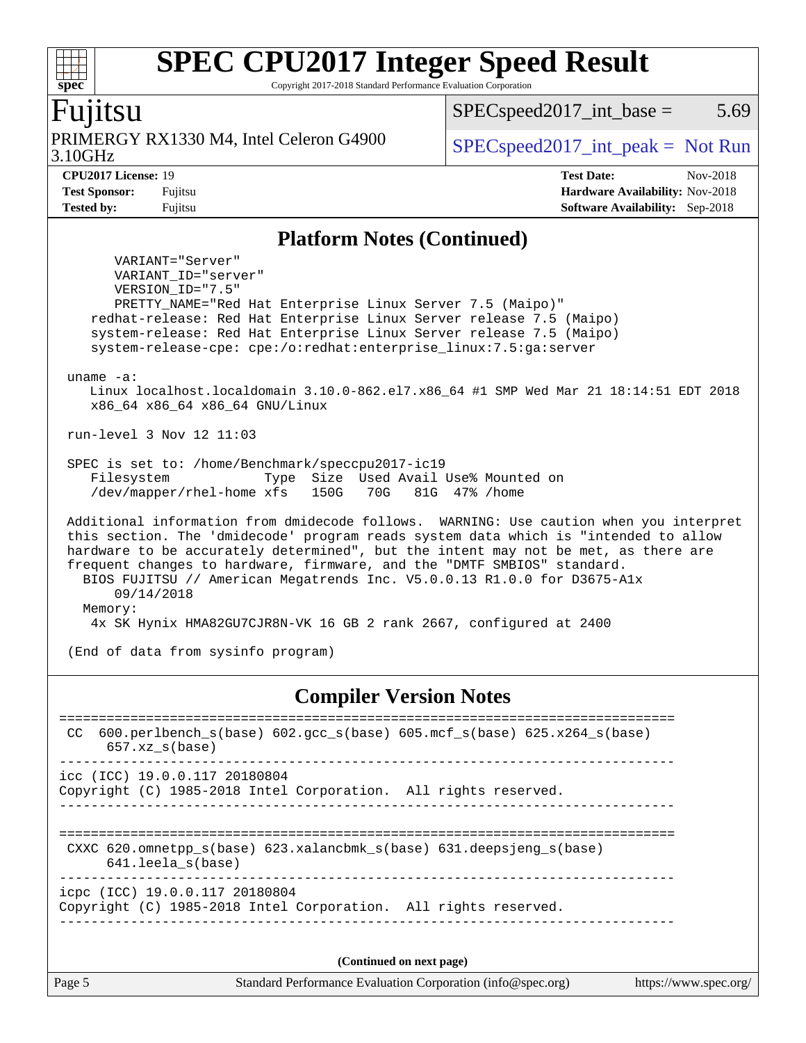Copyright 2017-2018 Standard Performance Evaluation Corporation

### Fujitsu

**[spec](http://www.spec.org/)**

 $\pm\pm\tau$ 

3.10GHz PRIMERGY RX1330 M4, Intel Celeron G4900  $\big|$  [SPECspeed2017\\_int\\_peak =](http://www.spec.org/auto/cpu2017/Docs/result-fields.html#SPECspeed2017intpeak) Not Run

 $SPEC speed2017\_int\_base = 5.69$ 

**[CPU2017 License:](http://www.spec.org/auto/cpu2017/Docs/result-fields.html#CPU2017License)** 19 **[Test Date:](http://www.spec.org/auto/cpu2017/Docs/result-fields.html#TestDate)** Nov-2018 **[Test Sponsor:](http://www.spec.org/auto/cpu2017/Docs/result-fields.html#TestSponsor)** Fujitsu **[Hardware Availability:](http://www.spec.org/auto/cpu2017/Docs/result-fields.html#HardwareAvailability)** Nov-2018 **[Tested by:](http://www.spec.org/auto/cpu2017/Docs/result-fields.html#Testedby)** Fujitsu **[Software Availability:](http://www.spec.org/auto/cpu2017/Docs/result-fields.html#SoftwareAvailability)** Sep-2018

#### **[Platform Notes \(Continued\)](http://www.spec.org/auto/cpu2017/Docs/result-fields.html#PlatformNotes)**

 VARIANT="Server" VARIANT\_ID="server" VERSION\_ID="7.5" PRETTY\_NAME="Red Hat Enterprise Linux Server 7.5 (Maipo)" redhat-release: Red Hat Enterprise Linux Server release 7.5 (Maipo) system-release: Red Hat Enterprise Linux Server release 7.5 (Maipo) system-release-cpe: cpe:/o:redhat:enterprise\_linux:7.5:ga:server

#### uname -a:

 Linux localhost.localdomain 3.10.0-862.el7.x86\_64 #1 SMP Wed Mar 21 18:14:51 EDT 2018 x86\_64 x86\_64 x86\_64 GNU/Linux

run-level 3 Nov 12 11:03

 SPEC is set to: /home/Benchmark/speccpu2017-ic19 Filesystem Type Size Used Avail Use% Mounted on /dev/mapper/rhel-home xfs 150G 70G 81G 47% /home

 Additional information from dmidecode follows. WARNING: Use caution when you interpret this section. The 'dmidecode' program reads system data which is "intended to allow hardware to be accurately determined", but the intent may not be met, as there are frequent changes to hardware, firmware, and the "DMTF SMBIOS" standard. BIOS FUJITSU // American Megatrends Inc. V5.0.0.13 R1.0.0 for D3675-A1x 09/14/2018 Memory: 4x SK Hynix HMA82GU7CJR8N-VK 16 GB 2 rank 2667, configured at 2400

(End of data from sysinfo program)

#### **[Compiler Version Notes](http://www.spec.org/auto/cpu2017/Docs/result-fields.html#CompilerVersionNotes)**

| 600.perlbench $s(base)$ 602.qcc $s(base)$ 605.mcf $s(base)$ 625.x264 $s(base)$<br>CC.<br>$657.xz$ s(base) |  |  |  |  |  |
|-----------------------------------------------------------------------------------------------------------|--|--|--|--|--|
| icc (ICC) 19.0.0.117 20180804<br>Copyright (C) 1985-2018 Intel Corporation. All rights reserved.          |  |  |  |  |  |
| CXXC 620.omnetpp $s(base)$ 623.xalancbmk $s(base)$ 631.deepsjeng $s(base)$<br>641.leela s(base)           |  |  |  |  |  |
| icpc (ICC) 19.0.0.117 20180804<br>Copyright (C) 1985-2018 Intel Corporation. All rights reserved.         |  |  |  |  |  |
| (Continued on next page)                                                                                  |  |  |  |  |  |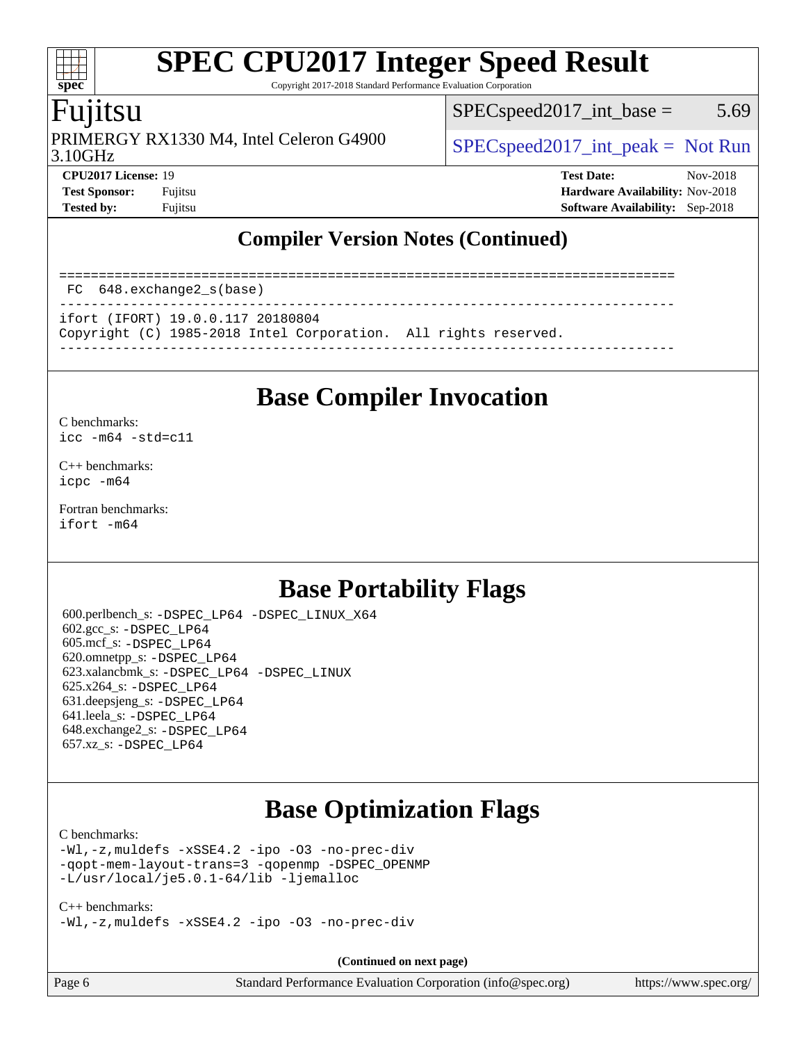Copyright 2017-2018 Standard Performance Evaluation Corporation

## Fujitsu

3.10GHz PRIMERGY RX1330 M4, Intel Celeron G4900  $\big|$  [SPECspeed2017\\_int\\_peak =](http://www.spec.org/auto/cpu2017/Docs/result-fields.html#SPECspeed2017intpeak) Not Run

 $SPEC speed2017\_int\_base = 5.69$ 

**[spec](http://www.spec.org/)**

dd h

**[CPU2017 License:](http://www.spec.org/auto/cpu2017/Docs/result-fields.html#CPU2017License)** 19 **[Test Date:](http://www.spec.org/auto/cpu2017/Docs/result-fields.html#TestDate)** Nov-2018 **[Test Sponsor:](http://www.spec.org/auto/cpu2017/Docs/result-fields.html#TestSponsor)** Fujitsu **[Hardware Availability:](http://www.spec.org/auto/cpu2017/Docs/result-fields.html#HardwareAvailability)** Nov-2018 **[Tested by:](http://www.spec.org/auto/cpu2017/Docs/result-fields.html#Testedby)** Fujitsu **[Software Availability:](http://www.spec.org/auto/cpu2017/Docs/result-fields.html#SoftwareAvailability)** Sep-2018

### **[Compiler Version Notes \(Continued\)](http://www.spec.org/auto/cpu2017/Docs/result-fields.html#CompilerVersionNotes)**

============================================================================== FC 648.exchange2\_s(base) ----------------------------------------------------------------------------- ifort (IFORT) 19.0.0.117 20180804 Copyright (C) 1985-2018 Intel Corporation. All rights reserved. ------------------------------------------------------------------------------

# **[Base Compiler Invocation](http://www.spec.org/auto/cpu2017/Docs/result-fields.html#BaseCompilerInvocation)**

#### [C benchmarks](http://www.spec.org/auto/cpu2017/Docs/result-fields.html#Cbenchmarks):

[icc -m64 -std=c11](http://www.spec.org/cpu2017/results/res2018q4/cpu2017-20181113-09784.flags.html#user_CCbase_intel_icc_64bit_c11_33ee0cdaae7deeeab2a9725423ba97205ce30f63b9926c2519791662299b76a0318f32ddfffdc46587804de3178b4f9328c46fa7c2b0cd779d7a61945c91cd35)

[C++ benchmarks:](http://www.spec.org/auto/cpu2017/Docs/result-fields.html#CXXbenchmarks) [icpc -m64](http://www.spec.org/cpu2017/results/res2018q4/cpu2017-20181113-09784.flags.html#user_CXXbase_intel_icpc_64bit_4ecb2543ae3f1412ef961e0650ca070fec7b7afdcd6ed48761b84423119d1bf6bdf5cad15b44d48e7256388bc77273b966e5eb805aefd121eb22e9299b2ec9d9)

[Fortran benchmarks](http://www.spec.org/auto/cpu2017/Docs/result-fields.html#Fortranbenchmarks): [ifort -m64](http://www.spec.org/cpu2017/results/res2018q4/cpu2017-20181113-09784.flags.html#user_FCbase_intel_ifort_64bit_24f2bb282fbaeffd6157abe4f878425411749daecae9a33200eee2bee2fe76f3b89351d69a8130dd5949958ce389cf37ff59a95e7a40d588e8d3a57e0c3fd751)

# **[Base Portability Flags](http://www.spec.org/auto/cpu2017/Docs/result-fields.html#BasePortabilityFlags)**

 600.perlbench\_s: [-DSPEC\\_LP64](http://www.spec.org/cpu2017/results/res2018q4/cpu2017-20181113-09784.flags.html#b600.perlbench_s_basePORTABILITY_DSPEC_LP64) [-DSPEC\\_LINUX\\_X64](http://www.spec.org/cpu2017/results/res2018q4/cpu2017-20181113-09784.flags.html#b600.perlbench_s_baseCPORTABILITY_DSPEC_LINUX_X64) 602.gcc\_s: [-DSPEC\\_LP64](http://www.spec.org/cpu2017/results/res2018q4/cpu2017-20181113-09784.flags.html#suite_basePORTABILITY602_gcc_s_DSPEC_LP64) 605.mcf\_s: [-DSPEC\\_LP64](http://www.spec.org/cpu2017/results/res2018q4/cpu2017-20181113-09784.flags.html#suite_basePORTABILITY605_mcf_s_DSPEC_LP64) 620.omnetpp\_s: [-DSPEC\\_LP64](http://www.spec.org/cpu2017/results/res2018q4/cpu2017-20181113-09784.flags.html#suite_basePORTABILITY620_omnetpp_s_DSPEC_LP64) 623.xalancbmk\_s: [-DSPEC\\_LP64](http://www.spec.org/cpu2017/results/res2018q4/cpu2017-20181113-09784.flags.html#suite_basePORTABILITY623_xalancbmk_s_DSPEC_LP64) [-DSPEC\\_LINUX](http://www.spec.org/cpu2017/results/res2018q4/cpu2017-20181113-09784.flags.html#b623.xalancbmk_s_baseCXXPORTABILITY_DSPEC_LINUX) 625.x264\_s: [-DSPEC\\_LP64](http://www.spec.org/cpu2017/results/res2018q4/cpu2017-20181113-09784.flags.html#suite_basePORTABILITY625_x264_s_DSPEC_LP64) 631.deepsjeng\_s: [-DSPEC\\_LP64](http://www.spec.org/cpu2017/results/res2018q4/cpu2017-20181113-09784.flags.html#suite_basePORTABILITY631_deepsjeng_s_DSPEC_LP64) 641.leela\_s: [-DSPEC\\_LP64](http://www.spec.org/cpu2017/results/res2018q4/cpu2017-20181113-09784.flags.html#suite_basePORTABILITY641_leela_s_DSPEC_LP64) 648.exchange2\_s: [-DSPEC\\_LP64](http://www.spec.org/cpu2017/results/res2018q4/cpu2017-20181113-09784.flags.html#suite_basePORTABILITY648_exchange2_s_DSPEC_LP64) 657.xz\_s: [-DSPEC\\_LP64](http://www.spec.org/cpu2017/results/res2018q4/cpu2017-20181113-09784.flags.html#suite_basePORTABILITY657_xz_s_DSPEC_LP64)

# **[Base Optimization Flags](http://www.spec.org/auto/cpu2017/Docs/result-fields.html#BaseOptimizationFlags)**

#### [C benchmarks](http://www.spec.org/auto/cpu2017/Docs/result-fields.html#Cbenchmarks):

[-Wl,-z,muldefs](http://www.spec.org/cpu2017/results/res2018q4/cpu2017-20181113-09784.flags.html#user_CCbase_link_force_multiple1_b4cbdb97b34bdee9ceefcfe54f4c8ea74255f0b02a4b23e853cdb0e18eb4525ac79b5a88067c842dd0ee6996c24547a27a4b99331201badda8798ef8a743f577) [-xSSE4.2](http://www.spec.org/cpu2017/results/res2018q4/cpu2017-20181113-09784.flags.html#user_CCbase_f-xSSE42_d85b2ac37ddc90662d11f1a4a8dc959d40ee6b8c1b95cdec45efdeb6594938334ecec49699063ec518cad6ffb0ae5f89c6821e9beeb549020603d53f71a41bf5) [-ipo](http://www.spec.org/cpu2017/results/res2018q4/cpu2017-20181113-09784.flags.html#user_CCbase_f-ipo) [-O3](http://www.spec.org/cpu2017/results/res2018q4/cpu2017-20181113-09784.flags.html#user_CCbase_f-O3) [-no-prec-div](http://www.spec.org/cpu2017/results/res2018q4/cpu2017-20181113-09784.flags.html#user_CCbase_f-no-prec-div) [-qopt-mem-layout-trans=3](http://www.spec.org/cpu2017/results/res2018q4/cpu2017-20181113-09784.flags.html#user_CCbase_f-qopt-mem-layout-trans_de80db37974c74b1f0e20d883f0b675c88c3b01e9d123adea9b28688d64333345fb62bc4a798493513fdb68f60282f9a726aa07f478b2f7113531aecce732043) [-qopenmp](http://www.spec.org/cpu2017/results/res2018q4/cpu2017-20181113-09784.flags.html#user_CCbase_qopenmp_16be0c44f24f464004c6784a7acb94aca937f053568ce72f94b139a11c7c168634a55f6653758ddd83bcf7b8463e8028bb0b48b77bcddc6b78d5d95bb1df2967) [-DSPEC\\_OPENMP](http://www.spec.org/cpu2017/results/res2018q4/cpu2017-20181113-09784.flags.html#suite_CCbase_DSPEC_OPENMP) [-L/usr/local/je5.0.1-64/lib](http://www.spec.org/cpu2017/results/res2018q4/cpu2017-20181113-09784.flags.html#user_CCbase_jemalloc_link_path64_4b10a636b7bce113509b17f3bd0d6226c5fb2346b9178c2d0232c14f04ab830f976640479e5c33dc2bcbbdad86ecfb6634cbbd4418746f06f368b512fced5394) [-ljemalloc](http://www.spec.org/cpu2017/results/res2018q4/cpu2017-20181113-09784.flags.html#user_CCbase_jemalloc_link_lib_d1249b907c500fa1c0672f44f562e3d0f79738ae9e3c4a9c376d49f265a04b9c99b167ecedbf6711b3085be911c67ff61f150a17b3472be731631ba4d0471706)

#### [C++ benchmarks:](http://www.spec.org/auto/cpu2017/Docs/result-fields.html#CXXbenchmarks)

[-Wl,-z,muldefs](http://www.spec.org/cpu2017/results/res2018q4/cpu2017-20181113-09784.flags.html#user_CXXbase_link_force_multiple1_b4cbdb97b34bdee9ceefcfe54f4c8ea74255f0b02a4b23e853cdb0e18eb4525ac79b5a88067c842dd0ee6996c24547a27a4b99331201badda8798ef8a743f577) [-xSSE4.2](http://www.spec.org/cpu2017/results/res2018q4/cpu2017-20181113-09784.flags.html#user_CXXbase_f-xSSE42_d85b2ac37ddc90662d11f1a4a8dc959d40ee6b8c1b95cdec45efdeb6594938334ecec49699063ec518cad6ffb0ae5f89c6821e9beeb549020603d53f71a41bf5) [-ipo](http://www.spec.org/cpu2017/results/res2018q4/cpu2017-20181113-09784.flags.html#user_CXXbase_f-ipo) [-O3](http://www.spec.org/cpu2017/results/res2018q4/cpu2017-20181113-09784.flags.html#user_CXXbase_f-O3) [-no-prec-div](http://www.spec.org/cpu2017/results/res2018q4/cpu2017-20181113-09784.flags.html#user_CXXbase_f-no-prec-div)

**(Continued on next page)**

| Page 6 |  |
|--------|--|
|--------|--|

Page 6 Standard Performance Evaluation Corporation [\(info@spec.org\)](mailto:info@spec.org) <https://www.spec.org/>